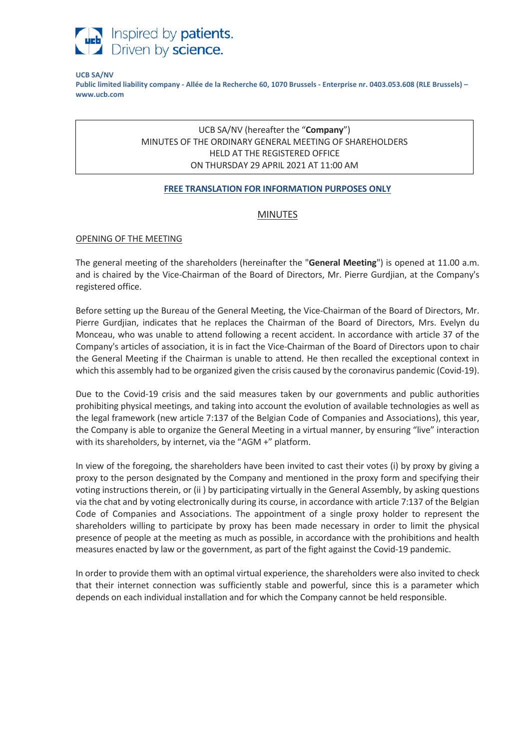

#### **UCB SA/NV**

**Public limited liability company - Allée de la Recherche 60, 1070 Brussels - Enterprise nr. 0403.053.608 (RLE Brussels) – www.ucb.com**

# UCB SA/NV (hereafter the "**Company**") MINUTES OF THE ORDINARY GENERAL MEETING OF SHAREHOLDERS HELD AT THE REGISTERED OFFICE ON THURSDAY 29 APRIL 2021 AT 11:00 AM

#### **FREE TRANSLATION FOR INFORMATION PURPOSES ONLY**

# MINUTES

#### OPENING OF THE MEETING

The general meeting of the shareholders (hereinafter the "**General Meeting**") is opened at 11.00 a.m. and is chaired by the Vice-Chairman of the Board of Directors, Mr. Pierre Gurdjian, at the Company's registered office.

Before setting up the Bureau of the General Meeting, the Vice-Chairman of the Board of Directors, Mr. Pierre Gurdjian, indicates that he replaces the Chairman of the Board of Directors, Mrs. Evelyn du Monceau, who was unable to attend following a recent accident. In accordance with article 37 of the Company's articles of association, it is in fact the Vice-Chairman of the Board of Directors upon to chair the General Meeting if the Chairman is unable to attend. He then recalled the exceptional context in which this assembly had to be organized given the crisis caused by the coronavirus pandemic (Covid-19).

Due to the Covid-19 crisis and the said measures taken by our governments and public authorities prohibiting physical meetings, and taking into account the evolution of available technologies as well as the legal framework (new article 7:137 of the Belgian Code of Companies and Associations), this year, the Company is able to organize the General Meeting in a virtual manner, by ensuring "live" interaction with its shareholders, by internet, via the "AGM +" platform.

In view of the foregoing, the shareholders have been invited to cast their votes (i) by proxy by giving a proxy to the person designated by the Company and mentioned in the proxy form and specifying their voting instructions therein, or (ii ) by participating virtually in the General Assembly, by asking questions via the chat and by voting electronically during its course, in accordance with article 7:137 of the Belgian Code of Companies and Associations. The appointment of a single proxy holder to represent the shareholders willing to participate by proxy has been made necessary in order to limit the physical presence of people at the meeting as much as possible, in accordance with the prohibitions and health measures enacted by law or the government, as part of the fight against the Covid-19 pandemic.

In order to provide them with an optimal virtual experience, the shareholders were also invited to check that their internet connection was sufficiently stable and powerful, since this is a parameter which depends on each individual installation and for which the Company cannot be held responsible.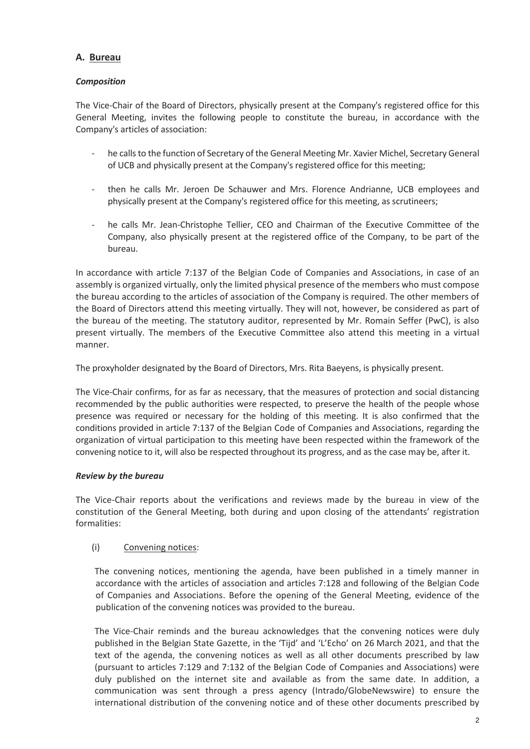# **A. Bureau**

# *Composition*

The Vice-Chair of the Board of Directors, physically present at the Company's registered office for this General Meeting, invites the following people to constitute the bureau, in accordance with the Company's articles of association:

- he calls to the function of Secretary of the General Meeting Mr. Xavier Michel, Secretary General of UCB and physically present at the Company's registered office for this meeting;
- then he calls Mr. Jeroen De Schauwer and Mrs. Florence Andrianne, UCB employees and physically present at the Company's registered office for this meeting, as scrutineers;
- he calls Mr. Jean-Christophe Tellier, CEO and Chairman of the Executive Committee of the Company, also physically present at the registered office of the Company, to be part of the bureau.

In accordance with article 7:137 of the Belgian Code of Companies and Associations, in case of an assembly is organized virtually, only the limited physical presence of the members who must compose the bureau according to the articles of association of the Company is required. The other members of the Board of Directors attend this meeting virtually. They will not, however, be considered as part of the bureau of the meeting. The statutory auditor, represented by Mr. Romain Seffer (PwC), is also present virtually. The members of the Executive Committee also attend this meeting in a virtual manner.

The proxyholder designated by the Board of Directors, Mrs. Rita Baeyens, is physically present.

The Vice-Chair confirms, for as far as necessary, that the measures of protection and social distancing recommended by the public authorities were respected, to preserve the health of the people whose presence was required or necessary for the holding of this meeting. It is also confirmed that the conditions provided in article 7:137 of the Belgian Code of Companies and Associations, regarding the organization of virtual participation to this meeting have been respected within the framework of the convening notice to it, will also be respected throughout its progress, and as the case may be, after it.

### *Review by the bureau*

The Vice-Chair reports about the verifications and reviews made by the bureau in view of the constitution of the General Meeting, both during and upon closing of the attendants' registration formalities:

# (i) Convening notices:

The convening notices, mentioning the agenda, have been published in a timely manner in accordance with the articles of association and articles 7:128 and following of the Belgian Code of Companies and Associations. Before the opening of the General Meeting, evidence of the publication of the convening notices was provided to the bureau.

The Vice-Chair reminds and the bureau acknowledges that the convening notices were duly published in the Belgian State Gazette, in the 'Tijd' and 'L'Echo' on 26 March 2021, and that the text of the agenda, the convening notices as well as all other documents prescribed by law (pursuant to articles 7:129 and 7:132 of the Belgian Code of Companies and Associations) were duly published on the internet site and available as from the same date. In addition, a communication was sent through a press agency (Intrado/GlobeNewswire) to ensure the international distribution of the convening notice and of these other documents prescribed by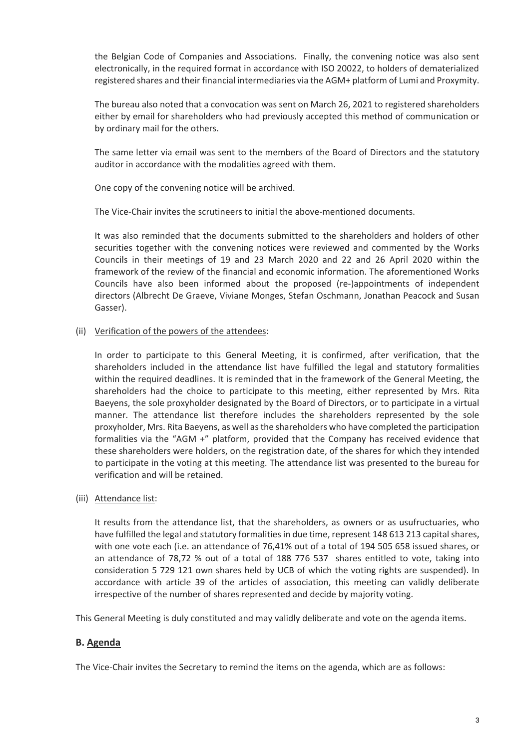the Belgian Code of Companies and Associations. Finally, the convening notice was also sent electronically, in the required format in accordance with ISO 20022, to holders of dematerialized registered shares and their financial intermediaries via the AGM+ platform of Lumi and Proxymity.

The bureau also noted that a convocation was sent on March 26, 2021 to registered shareholders either by email for shareholders who had previously accepted this method of communication or by ordinary mail for the others.

The same letter via email was sent to the members of the Board of Directors and the statutory auditor in accordance with the modalities agreed with them.

One copy of the convening notice will be archived.

The Vice-Chair invites the scrutineers to initial the above-mentioned documents.

It was also reminded that the documents submitted to the shareholders and holders of other securities together with the convening notices were reviewed and commented by the Works Councils in their meetings of 19 and 23 March 2020 and 22 and 26 April 2020 within the framework of the review of the financial and economic information. The aforementioned Works Councils have also been informed about the proposed (re-)appointments of independent directors (Albrecht De Graeve, Viviane Monges, Stefan Oschmann, Jonathan Peacock and Susan Gasser).

# (ii) Verification of the powers of the attendees:

In order to participate to this General Meeting, it is confirmed, after verification, that the shareholders included in the attendance list have fulfilled the legal and statutory formalities within the required deadlines. It is reminded that in the framework of the General Meeting, the shareholders had the choice to participate to this meeting, either represented by Mrs. Rita Baeyens, the sole proxyholder designated by the Board of Directors, or to participate in a virtual manner. The attendance list therefore includes the shareholders represented by the sole proxyholder, Mrs. Rita Baeyens, as well asthe shareholders who have completed the participation formalities via the "AGM +" platform, provided that the Company has received evidence that these shareholders were holders, on the registration date, of the shares for which they intended to participate in the voting at this meeting. The attendance list was presented to the bureau for verification and will be retained.

# (iii) Attendance list:

It results from the attendance list, that the shareholders, as owners or as usufructuaries, who have fulfilled the legal and statutory formalities in due time, represent 148 613 213 capital shares, with one vote each (i.e. an attendance of 76,41% out of a total of 194 505 658 issued shares, or an attendance of 78,72 % out of a total of 188 776 537 shares entitled to vote, taking into consideration 5 729 121 own shares held by UCB of which the voting rights are suspended). In accordance with article 39 of the articles of association, this meeting can validly deliberate irrespective of the number of shares represented and decide by majority voting.

This General Meeting is duly constituted and may validly deliberate and vote on the agenda items.

# **B. Agenda**

The Vice-Chair invites the Secretary to remind the items on the agenda, which are as follows: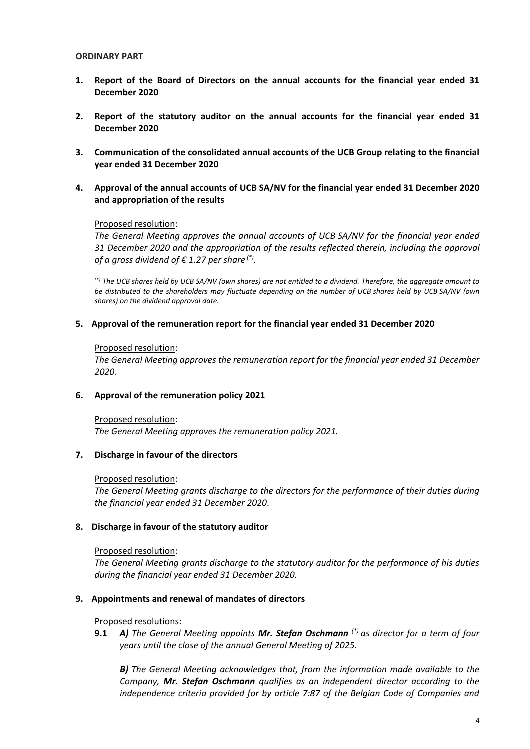#### **ORDINARY PART**

- **1. Report of the Board of Directors on the annual accounts for the financial year ended 31 December 2020**
- **2. Report of the statutory auditor on the annual accounts for the financial year ended 31 December 2020**
- **3. Communication of the consolidated annual accounts of the UCB Group relating to the financial year ended 31 December 2020**
- **4. Approval of the annual accounts of UCB SA/NV for the financial year ended 31 December 2020 and appropriation of the results**

#### Proposed resolution:

*The General Meeting approves the annual accounts of UCB SA/NV for the financial year ended 31 December 2020 and the appropriation of the results reflected therein, including the approval of a gross dividend of € 1.27 per share (\*) .*

*(\*) The UCB shares held by UCB SA/NV (own shares) are not entitled to a dividend. Therefore, the aggregate amount to be distributed to the shareholders may fluctuate depending on the number of UCB shares held by UCB SA/NV (own shares) on the dividend approval date.*

#### **5. Approval of the remuneration report for the financial year ended 31 December 2020**

#### Proposed resolution:

*The General Meeting approves the remuneration report for the financial year ended 31 December 2020.*

### **6. Approval of the remuneration policy 2021**

Proposed resolution: *The General Meeting approves the remuneration policy 2021.*

### **7. Discharge in favour of the directors**

#### Proposed resolution:

*The General Meeting grants discharge to the directors for the performance of their duties during the financial year ended 31 December 2020*.

### **8. Discharge in favour of the statutory auditor**

#### Proposed resolution:

*The General Meeting grants discharge to the statutory auditor for the performance of his duties during the financial year ended 31 December 2020.*

### **9. Appointments and renewal of mandates of directors**

#### Proposed resolutions:

**9.1** *A) The General Meeting appoints Mr. Stefan Oschmann (\*) as director for a term of four years until the close of the annual General Meeting of 2025.*

*B) The General Meeting acknowledges that, from the information made available to the Company, Mr. Stefan Oschmann qualifies as an independent director according to the independence criteria provided for by article 7:87 of the Belgian Code of Companies and*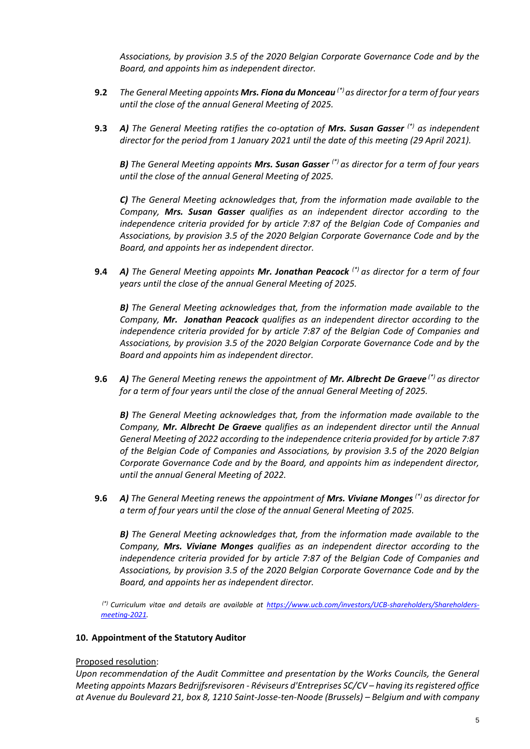*Associations, by provision 3.5 of the 2020 Belgian Corporate Governance Code and by the Board, and appoints him as independent director.*

- **9.2** *The General Meeting appoints Mrs. Fiona du Monceau (\*) as director for a term of four years until the close of the annual General Meeting of 2025.*
- **9.3** *A) The General Meeting ratifies the co-optation of Mrs. Susan Gasser (\*) as independent director for the period from 1 January 2021 until the date of this meeting (29 April 2021).*

*B) The General Meeting appoints Mrs. Susan Gasser (\*) as director for a term of four years until the close of the annual General Meeting of 2025.*

*C) The General Meeting acknowledges that, from the information made available to the Company, Mrs. Susan Gasser qualifies as an independent director according to the independence criteria provided for by article 7:87 of the Belgian Code of Companies and Associations, by provision 3.5 of the 2020 Belgian Corporate Governance Code and by the Board, and appoints her as independent director.*

**9.4** *A) The General Meeting appoints Mr. Jonathan Peacock (\*) as director for a term of four years until the close of the annual General Meeting of 2025.*

*B) The General Meeting acknowledges that, from the information made available to the Company, Mr. Jonathan Peacock qualifies as an independent director according to the independence criteria provided for by article 7:87 of the Belgian Code of Companies and Associations, by provision 3.5 of the 2020 Belgian Corporate Governance Code and by the Board and appoints him as independent director.*

**9.6** *A) The General Meeting renews the appointment of Mr. Albrecht De Graeve (\*) as director for a term of four years until the close of the annual General Meeting of 2025.*

*B) The General Meeting acknowledges that, from the information made available to the Company, Mr. Albrecht De Graeve qualifies as an independent director until the Annual General Meeting of 2022 according to the independence criteria provided for by article 7:87 of the Belgian Code of Companies and Associations, by provision 3.5 of the 2020 Belgian Corporate Governance Code and by the Board, and appoints him as independent director, until the annual General Meeting of 2022.*

**9.6** *A) The General Meeting renews the appointment of Mrs. Viviane Monges (\*) as director for a term of four years until the close of the annual General Meeting of 2025.*

*B) The General Meeting acknowledges that, from the information made available to the Company, Mrs. Viviane Monges qualifies as an independent director according to the independence criteria provided for by article 7:87 of the Belgian Code of Companies and Associations, by provision 3.5 of the 2020 Belgian Corporate Governance Code and by the Board, and appoints her as independent director.*

*(\*) Curriculum vitae and details are available at [https://www.ucb.com/investors/UCB-shareholders/Shareholders](https://www.ucb.com/investors/UCB-shareholders/Shareholders-meeting-2021)[meeting-2021.](https://www.ucb.com/investors/UCB-shareholders/Shareholders-meeting-2021)*

#### **10. Appointment of the Statutory Auditor**

#### Proposed resolution:

*Upon recommendation of the Audit Committee and presentation by the Works Councils, the General Meeting appoints Mazars Bedrijfsrevisoren - Réviseurs d'Entreprises SC/CV – having its registered office at Avenue du Boulevard 21, box 8, 1210 Saint-Josse-ten-Noode (Brussels) – Belgium and with company*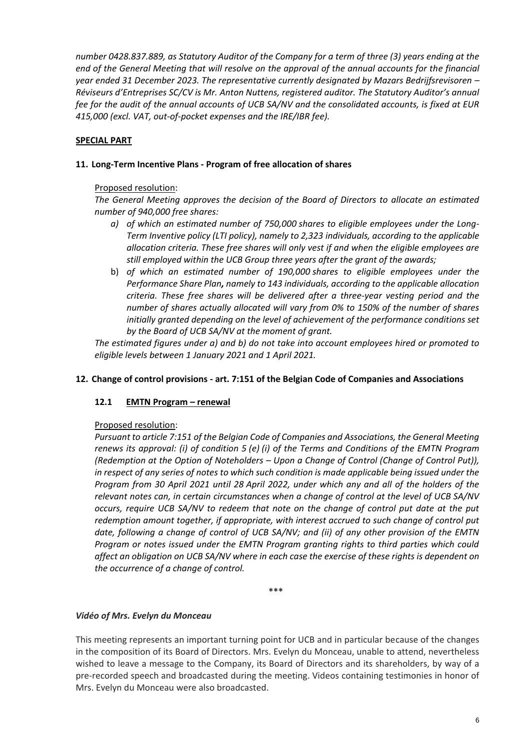*number 0428.837.889, as Statutory Auditor of the Company for a term of three (3) years ending at the end of the General Meeting that will resolve on the approval of the annual accounts for the financial year ended 31 December 2023. The representative currently designated by Mazars Bedrijfsrevisoren – Réviseurs d'Entreprises SC/CV is Mr. Anton Nuttens, registered auditor. The Statutory Auditor's annual fee for the audit of the annual accounts of UCB SA/NV and the consolidated accounts, is fixed at EUR 415,000 (excl. VAT, out-of-pocket expenses and the IRE/IBR fee).*

# **SPECIAL PART**

# **11. Long-Term Incentive Plans - Program of free allocation of shares**

# Proposed resolution:

*The General Meeting approves the decision of the Board of Directors to allocate an estimated number of 940,000 free shares:*

- *a) of which an estimated number of 750,000 shares to eligible employees under the Long-Term Inventive policy (LTI policy), namely to 2,323 individuals, according to the applicable allocation criteria. These free shares will only vest if and when the eligible employees are still employed within the UCB Group three years after the grant of the awards;*
- b) *of which an estimated number of 190,000 shares to eligible employees under the Performance Share Plan, namely to 143 individuals, according to the applicable allocation criteria. These free shares will be delivered after a three-year vesting period and the number of shares actually allocated will vary from 0% to 150% of the number of shares initially granted depending on the level of achievement of the performance conditions set by the Board of UCB SA/NV at the moment of grant.*

*The estimated figures under a) and b) do not take into account employees hired or promoted to eligible levels between 1 January 2021 and 1 April 2021.*

# **12. Change of control provisions - art. 7:151 of the Belgian Code of Companies and Associations**

# 12.1 **EMTN Program – renewal**

### Proposed resolution:

*Pursuant to article 7:151 of the Belgian Code of Companies and Associations, the General Meeting renews its approval: (i) of condition 5 (e) (i) of the Terms and Conditions of the EMTN Program (Redemption at the Option of Noteholders – Upon a Change of Control (Change of Control Put)), in respect of any series of notes to which such condition is made applicable being issued under the Program from 30 April 2021 until 28 April 2022, under which any and all of the holders of the relevant notes can, in certain circumstances when a change of control at the level of UCB SA/NV occurs, require UCB SA/NV to redeem that note on the change of control put date at the put redemption amount together, if appropriate, with interest accrued to such change of control put date, following a change of control of UCB SA/NV; and (ii) of any other provision of the EMTN Program or notes issued under the EMTN Program granting rights to third parties which could affect an obligation on UCB SA/NV where in each case the exercise of these rights is dependent on the occurrence of a change of control.*

**\*\*\***

### *Vidéo of Mrs. Evelyn du Monceau*

This meeting represents an important turning point for UCB and in particular because of the changes in the composition of its Board of Directors. Mrs. Evelyn du Monceau, unable to attend, nevertheless wished to leave a message to the Company, its Board of Directors and its shareholders, by way of a pre-recorded speech and broadcasted during the meeting. Videos containing testimonies in honor of Mrs. Evelyn du Monceau were also broadcasted.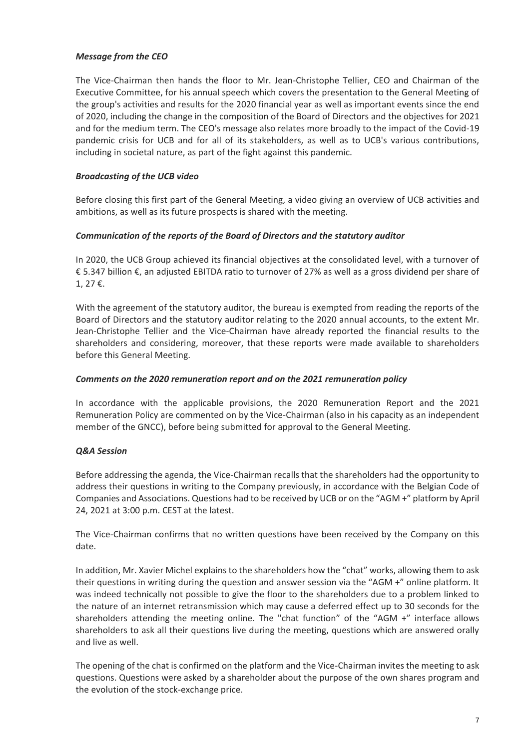# *Message from the CEO*

The Vice-Chairman then hands the floor to Mr. Jean-Christophe Tellier, CEO and Chairman of the Executive Committee, for his annual speech which covers the presentation to the General Meeting of the group's activities and results for the 2020 financial year as well as important events since the end of 2020, including the change in the composition of the Board of Directors and the objectives for 2021 and for the medium term. The CEO's message also relates more broadly to the impact of the Covid-19 pandemic crisis for UCB and for all of its stakeholders, as well as to UCB's various contributions, including in societal nature, as part of the fight against this pandemic.

# *Broadcasting of the UCB video*

Before closing this first part of the General Meeting, a video giving an overview of UCB activities and ambitions, as well as its future prospects is shared with the meeting.

# *Communication of the reports of the Board of Directors and the statutory auditor*

In 2020, the UCB Group achieved its financial objectives at the consolidated level, with a turnover of € 5.347 billion €, an adjusted EBITDA ratio to turnover of 27% as well as a gross dividend per share of 1, 27 €.

With the agreement of the statutory auditor, the bureau is exempted from reading the reports of the Board of Directors and the statutory auditor relating to the 2020 annual accounts, to the extent Mr. Jean-Christophe Tellier and the Vice-Chairman have already reported the financial results to the shareholders and considering, moreover, that these reports were made available to shareholders before this General Meeting.

### *Comments on the 2020 remuneration report and on the 2021 remuneration policy*

In accordance with the applicable provisions, the 2020 Remuneration Report and the 2021 Remuneration Policy are commented on by the Vice-Chairman (also in his capacity as an independent member of the GNCC), before being submitted for approval to the General Meeting.

# *Q&A Session*

Before addressing the agenda, the Vice-Chairman recalls that the shareholders had the opportunity to address their questions in writing to the Company previously, in accordance with the Belgian Code of Companies and Associations. Questions had to be received by UCB or on the "AGM +" platform by April 24, 2021 at 3:00 p.m. CEST at the latest.

The Vice-Chairman confirms that no written questions have been received by the Company on this date.

In addition, Mr. Xavier Michel explains to the shareholders how the "chat" works, allowing them to ask their questions in writing during the question and answer session via the "AGM +" online platform. It was indeed technically not possible to give the floor to the shareholders due to a problem linked to the nature of an internet retransmission which may cause a deferred effect up to 30 seconds for the shareholders attending the meeting online. The "chat function" of the "AGM +" interface allows shareholders to ask all their questions live during the meeting, questions which are answered orally and live as well.

The opening of the chat is confirmed on the platform and the Vice-Chairman invites the meeting to ask questions. Questions were asked by a shareholder about the purpose of the own shares program and the evolution of the stock-exchange price.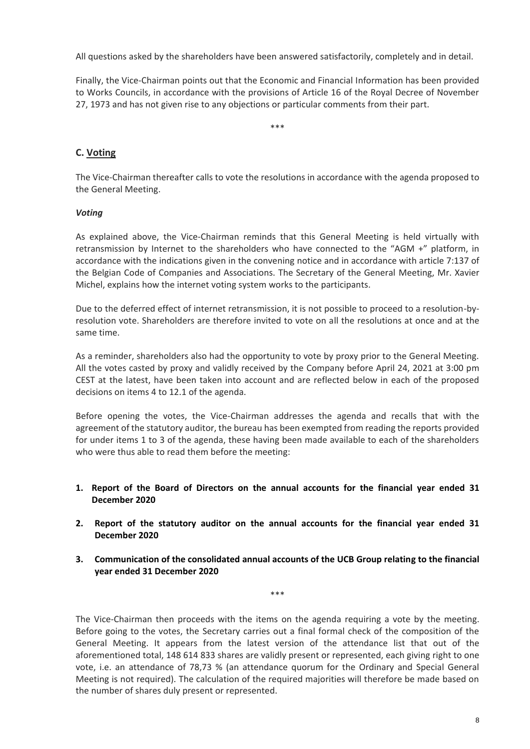All questions asked by the shareholders have been answered satisfactorily, completely and in detail.

Finally, the Vice-Chairman points out that the Economic and Financial Information has been provided to Works Councils, in accordance with the provisions of Article 16 of the Royal Decree of November 27, 1973 and has not given rise to any objections or particular comments from their part.

\*\*\*

# **C. Voting**

The Vice-Chairman thereafter calls to vote the resolutions in accordance with the agenda proposed to the General Meeting.

# *Voting*

As explained above, the Vice-Chairman reminds that this General Meeting is held virtually with retransmission by Internet to the shareholders who have connected to the "AGM +" platform, in accordance with the indications given in the convening notice and in accordance with article 7:137 of the Belgian Code of Companies and Associations. The Secretary of the General Meeting, Mr. Xavier Michel, explains how the internet voting system works to the participants.

Due to the deferred effect of internet retransmission, it is not possible to proceed to a resolution-byresolution vote. Shareholders are therefore invited to vote on all the resolutions at once and at the same time.

As a reminder, shareholders also had the opportunity to vote by proxy prior to the General Meeting. All the votes casted by proxy and validly received by the Company before April 24, 2021 at 3:00 pm CEST at the latest, have been taken into account and are reflected below in each of the proposed decisions on items 4 to 12.1 of the agenda.

Before opening the votes, the Vice-Chairman addresses the agenda and recalls that with the agreement of the statutory auditor, the bureau has been exempted from reading the reports provided for under items 1 to 3 of the agenda, these having been made available to each of the shareholders who were thus able to read them before the meeting:

- **1. Report of the Board of Directors on the annual accounts for the financial year ended 31 December 2020**
- **2. Report of the statutory auditor on the annual accounts for the financial year ended 31 December 2020**
- **3. Communication of the consolidated annual accounts of the UCB Group relating to the financial year ended 31 December 2020**

\*\*\*

The Vice-Chairman then proceeds with the items on the agenda requiring a vote by the meeting. Before going to the votes, the Secretary carries out a final formal check of the composition of the General Meeting. It appears from the latest version of the attendance list that out of the aforementioned total, 148 614 833 shares are validly present or represented, each giving right to one vote, i.e. an attendance of 78,73 % (an attendance quorum for the Ordinary and Special General Meeting is not required). The calculation of the required majorities will therefore be made based on the number of shares duly present or represented.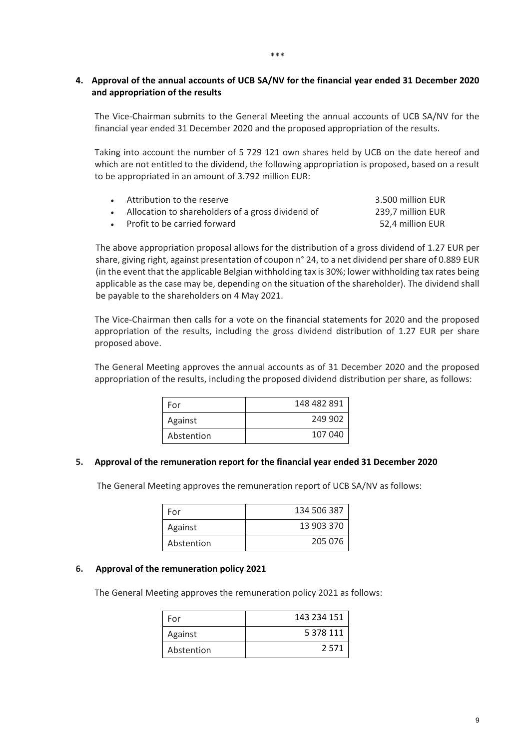# **4. Approval of the annual accounts of UCB SA/NV for the financial year ended 31 December 2020 and appropriation of the results**

The Vice-Chairman submits to the General Meeting the annual accounts of UCB SA/NV for the financial year ended 31 December 2020 and the proposed appropriation of the results.

Taking into account the number of 5 729 121 own shares held by UCB on the date hereof and which are not entitled to the dividend, the following appropriation is proposed, based on a result to be appropriated in an amount of 3.792 million EUR:

| • Attribution to the reserve                        | 3.500 million EUR |
|-----------------------------------------------------|-------------------|
| • Allocation to shareholders of a gross dividend of | 239,7 million EUR |
| • Profit to be carried forward                      | 52.4 million EUR  |

The above appropriation proposal allows for the distribution of a gross dividend of 1.27 EUR per share, giving right, against presentation of coupon n° 24, to a net dividend per share of 0.889 EUR (in the event that the applicable Belgian withholding tax is 30%; lower withholding tax rates being applicable as the case may be, depending on the situation of the shareholder). The dividend shall be payable to the shareholders on 4 May 2021.

The Vice-Chairman then calls for a vote on the financial statements for 2020 and the proposed appropriation of the results, including the gross dividend distribution of 1.27 EUR per share proposed above.

The General Meeting approves the annual accounts as of 31 December 2020 and the proposed appropriation of the results, including the proposed dividend distribution per share, as follows:

| For        | 148 482 891 |
|------------|-------------|
| Against    | 249 902     |
| Abstention | 107 040     |

### **5. Approval of the remuneration report for the financial year ended 31 December 2020**

The General Meeting approves the remuneration report of UCB SA/NV as follows:

| For        | 134 506 387 |
|------------|-------------|
| Against    | 13 903 370  |
| Abstention | 205 076     |

#### **6. Approval of the remuneration policy 2021**

The General Meeting approves the remuneration policy 2021 as follows:

| For        | 143 234 151 |
|------------|-------------|
| Against    | 5 378 111   |
| Abstention | 2 5 7 1     |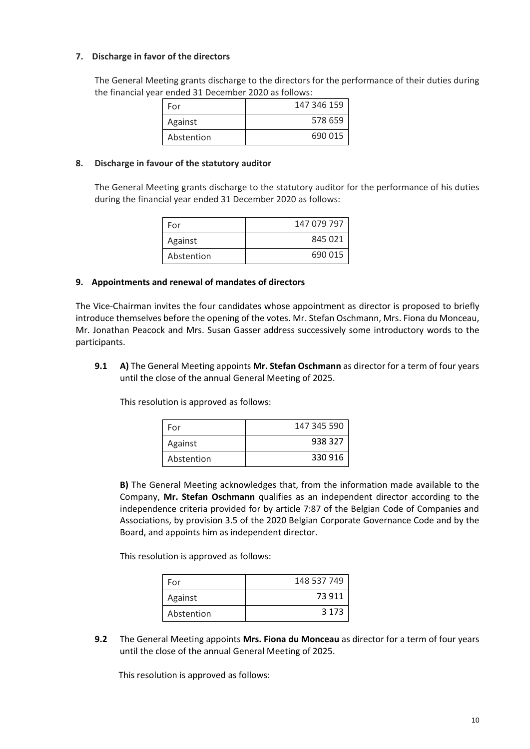# **7. Discharge in favor of the directors**

The General Meeting grants discharge to the directors for the performance of their duties during the financial year ended 31 December 2020 as follows:

| For        | 147 346 159 |
|------------|-------------|
| Against    | 578 659     |
| Abstention | 690 015     |

### **8. Discharge in favour of the statutory auditor**

The General Meeting grants discharge to the statutory auditor for the performance of his duties during the financial year ended 31 December 2020 as follows:

| For        | 147 079 797 |
|------------|-------------|
| Against    | 845 021     |
| Abstention | 690 015     |

#### **9. Appointments and renewal of mandates of directors**

The Vice-Chairman invites the four candidates whose appointment as director is proposed to briefly introduce themselves before the opening of the votes. Mr. Stefan Oschmann, Mrs. Fiona du Monceau, Mr. Jonathan Peacock and Mrs. Susan Gasser address successively some introductory words to the participants.

**9.1 A)** The General Meeting appoints **Mr. Stefan Oschmann** as director for a term of four years until the close of the annual General Meeting of 2025.

This resolution is approved as follows:

| For        | 147 345 590 |
|------------|-------------|
| Against    | 938 327     |
| Abstention | 330 916     |

**B)** The General Meeting acknowledges that, from the information made available to the Company, **Mr. Stefan Oschmann** qualifies as an independent director according to the independence criteria provided for by article 7:87 of the Belgian Code of Companies and Associations, by provision 3.5 of the 2020 Belgian Corporate Governance Code and by the Board, and appoints him as independent director.

This resolution is approved as follows:

| For        | 148 537 749 |
|------------|-------------|
| Against    | 73 911      |
| Abstention | 3 1 7 3     |

**9.2** The General Meeting appoints **Mrs. Fiona du Monceau** as director for a term of four years until the close of the annual General Meeting of 2025.

This resolution is approved as follows: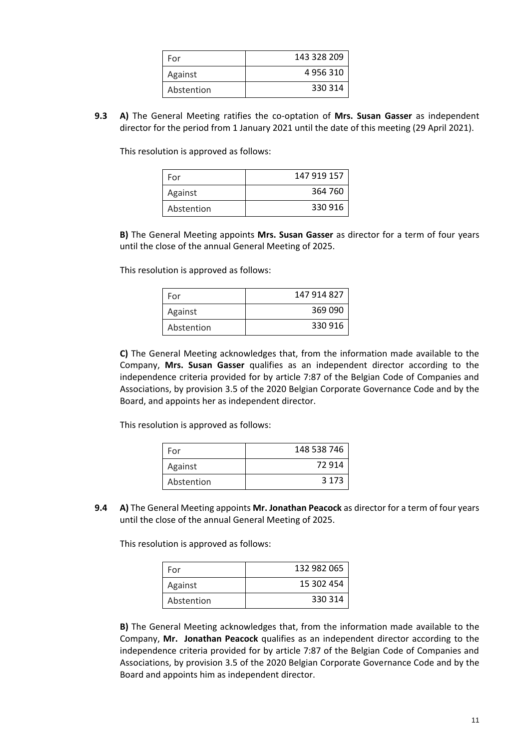| For        | 143 328 209 |
|------------|-------------|
| Against    | 4956310     |
| Abstention | 330 314     |

**9.3 A)** The General Meeting ratifies the co-optation of **Mrs. Susan Gasser** as independent director for the period from 1 January 2021 until the date of this meeting (29 April 2021).

This resolution is approved as follows:

| For        | 147 919 157 |
|------------|-------------|
| Against    | 364 760     |
| Abstention | 330 916     |

**B)** The General Meeting appoints **Mrs. Susan Gasser** as director for a term of four years until the close of the annual General Meeting of 2025.

This resolution is approved as follows:

| For        | 147 914 827 |
|------------|-------------|
| Against    | 369 090     |
| Abstention | 330 916     |

**C)** The General Meeting acknowledges that, from the information made available to the Company, **Mrs. Susan Gasser** qualifies as an independent director according to the independence criteria provided for by article 7:87 of the Belgian Code of Companies and Associations, by provision 3.5 of the 2020 Belgian Corporate Governance Code and by the Board, and appoints her as independent director.

This resolution is approved as follows:

| For        | 148 538 746 |
|------------|-------------|
| Against    | 72 914      |
| Abstention | 3 1 7 3     |

**9.4 A)** The General Meeting appoints **Mr. Jonathan Peacock** as director for a term of four years until the close of the annual General Meeting of 2025.

This resolution is approved as follows:

| For        | 132 982 065 |
|------------|-------------|
| Against    | 15 302 454  |
| Abstention | 330 314     |

**B)** The General Meeting acknowledges that, from the information made available to the Company, **Mr. Jonathan Peacock** qualifies as an independent director according to the independence criteria provided for by article 7:87 of the Belgian Code of Companies and Associations, by provision 3.5 of the 2020 Belgian Corporate Governance Code and by the Board and appoints him as independent director.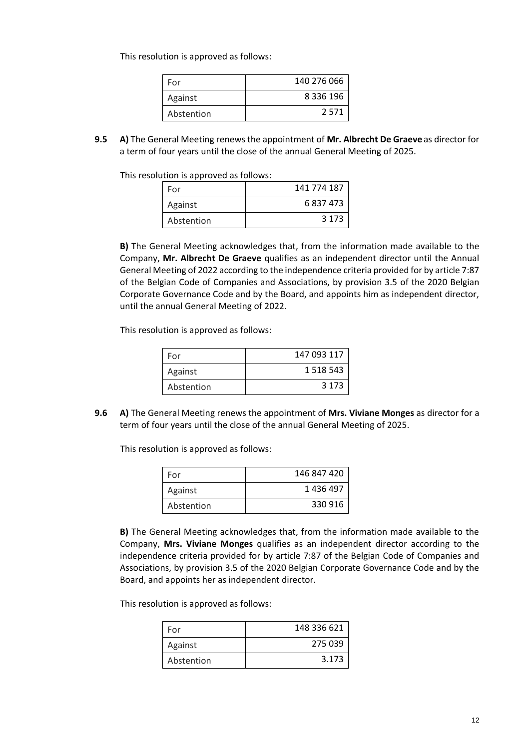This resolution is approved as follows:

| For        | 140 276 066   |
|------------|---------------|
| Against    | 8 3 3 6 1 9 6 |
| Abstention | 2.571         |

**9.5 A)** The General Meeting renews the appointment of **Mr. Albrecht De Graeve** as director for a term of four years until the close of the annual General Meeting of 2025.

This resolution is approved as follows:

| For        | 141 774 187 |
|------------|-------------|
| Against    | 6837473     |
| Abstention | 3 1 7 3     |

**B)** The General Meeting acknowledges that, from the information made available to the Company, **Mr. Albrecht De Graeve** qualifies as an independent director until the Annual General Meeting of 2022 according to the independence criteria provided for by article 7:87 of the Belgian Code of Companies and Associations, by provision 3.5 of the 2020 Belgian Corporate Governance Code and by the Board, and appoints him as independent director, until the annual General Meeting of 2022.

This resolution is approved as follows:

| For        | 147 093 117   |
|------------|---------------|
| Against    | 1 5 1 8 5 4 3 |
| Abstention | 3 1 7 3       |

**9.6 A)** The General Meeting renews the appointment of **Mrs. Viviane Monges** as director for a term of four years until the close of the annual General Meeting of 2025.

This resolution is approved as follows:

| For        | 146 847 420 |
|------------|-------------|
| Against    | 1436497     |
| Abstention | 330 916     |

**B)** The General Meeting acknowledges that, from the information made available to the Company, **Mrs. Viviane Monges** qualifies as an independent director according to the independence criteria provided for by article 7:87 of the Belgian Code of Companies and Associations, by provision 3.5 of the 2020 Belgian Corporate Governance Code and by the Board, and appoints her as independent director.

This resolution is approved as follows:

| For        | 148 336 621 |
|------------|-------------|
| Against    | 275 039     |
| Abstention | 3.173       |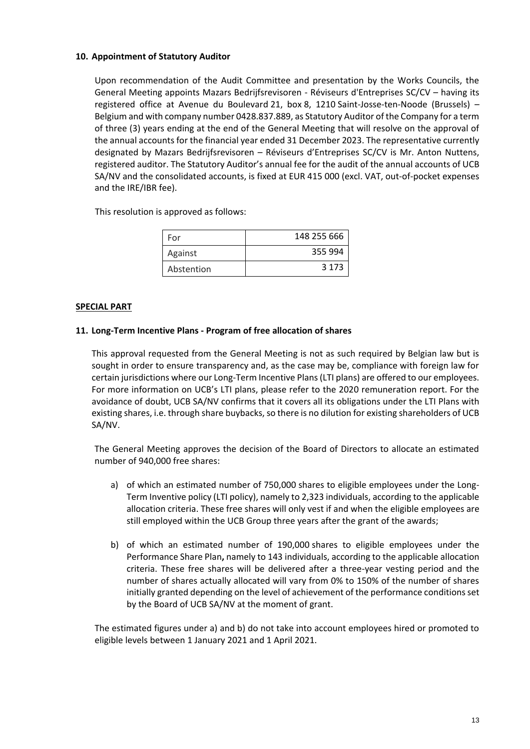# **10. Appointment of Statutory Auditor**

Upon recommendation of the Audit Committee and presentation by the Works Councils, the General Meeting appoints Mazars Bedrijfsrevisoren - Réviseurs d'Entreprises SC/CV – having its registered office at Avenue du Boulevard 21, box 8, 1210 Saint-Josse-ten-Noode (Brussels) – Belgium and with company number 0428.837.889, as Statutory Auditor of the Company for a term of three (3) years ending at the end of the General Meeting that will resolve on the approval of the annual accounts for the financial year ended 31 December 2023. The representative currently designated by Mazars Bedrijfsrevisoren – Réviseurs d'Entreprises SC/CV is Mr. Anton Nuttens, registered auditor. The Statutory Auditor's annual fee for the audit of the annual accounts of UCB SA/NV and the consolidated accounts, is fixed at EUR 415 000 (excl. VAT, out-of-pocket expenses and the IRE/IBR fee).

This resolution is approved as follows:

| For        | 148 255 666 |
|------------|-------------|
| Against    | 355 994     |
| Abstention | 3 1 7 3     |

### **SPECIAL PART**

# **11. Long-Term Incentive Plans - Program of free allocation of shares**

This approval requested from the General Meeting is not as such required by Belgian law but is sought in order to ensure transparency and, as the case may be, compliance with foreign law for certain jurisdictions where our Long-Term Incentive Plans (LTI plans) are offered to our employees. For more information on UCB's LTI plans, please refer to the 2020 remuneration report. For the avoidance of doubt, UCB SA/NV confirms that it covers all its obligations under the LTI Plans with existing shares, i.e. through share buybacks, so there is no dilution for existing shareholders of UCB SA/NV.

The General Meeting approves the decision of the Board of Directors to allocate an estimated number of 940,000 free shares:

- a) of which an estimated number of 750,000 shares to eligible employees under the Long-Term Inventive policy (LTI policy), namely to 2,323 individuals, according to the applicable allocation criteria. These free shares will only vest if and when the eligible employees are still employed within the UCB Group three years after the grant of the awards;
- b) of which an estimated number of 190,000 shares to eligible employees under the Performance Share Plan**,** namely to 143 individuals, according to the applicable allocation criteria. These free shares will be delivered after a three-year vesting period and the number of shares actually allocated will vary from 0% to 150% of the number of shares initially granted depending on the level of achievement of the performance conditions set by the Board of UCB SA/NV at the moment of grant.

The estimated figures under a) and b) do not take into account employees hired or promoted to eligible levels between 1 January 2021 and 1 April 2021.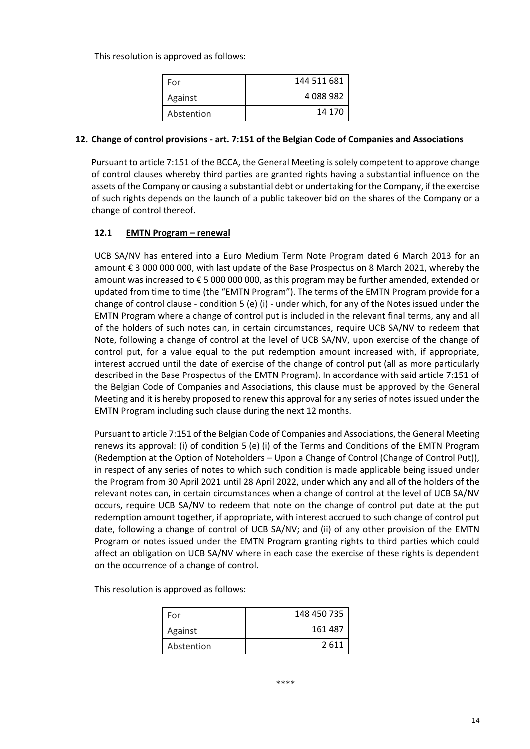This resolution is approved as follows:

| For        | 144 511 681 |
|------------|-------------|
| Against    | 4088982     |
| Abstention | 14 170      |

### **12. Change of control provisions - art. 7:151 of the Belgian Code of Companies and Associations**

Pursuant to article 7:151 of the BCCA, the General Meeting is solely competent to approve change of control clauses whereby third parties are granted rights having a substantial influence on the assets of the Company or causing a substantial debt or undertaking for the Company, if the exercise of such rights depends on the launch of a public takeover bid on the shares of the Company or a change of control thereof.

# **12.1 EMTN Program – renewal**

UCB SA/NV has entered into a Euro Medium Term Note Program dated 6 March 2013 for an amount € 3 000 000 000, with last update of the Base Prospectus on 8 March 2021, whereby the amount was increased to € 5 000 000 000, as this program may be further amended, extended or updated from time to time (the "EMTN Program"). The terms of the EMTN Program provide for a change of control clause - condition 5 (e) (i) - under which, for any of the Notes issued under the EMTN Program where a change of control put is included in the relevant final terms, any and all of the holders of such notes can, in certain circumstances, require UCB SA/NV to redeem that Note, following a change of control at the level of UCB SA/NV, upon exercise of the change of control put, for a value equal to the put redemption amount increased with, if appropriate, interest accrued until the date of exercise of the change of control put (all as more particularly described in the Base Prospectus of the EMTN Program). In accordance with said article 7:151 of the Belgian Code of Companies and Associations, this clause must be approved by the General Meeting and it is hereby proposed to renew this approval for any series of notes issued under the EMTN Program including such clause during the next 12 months.

Pursuant to article 7:151 of the Belgian Code of Companies and Associations, the General Meeting renews its approval: (i) of condition 5 (e) (i) of the Terms and Conditions of the EMTN Program (Redemption at the Option of Noteholders – Upon a Change of Control (Change of Control Put)), in respect of any series of notes to which such condition is made applicable being issued under the Program from 30 April 2021 until 28 April 2022, under which any and all of the holders of the relevant notes can, in certain circumstances when a change of control at the level of UCB SA/NV occurs, require UCB SA/NV to redeem that note on the change of control put date at the put redemption amount together, if appropriate, with interest accrued to such change of control put date, following a change of control of UCB SA/NV; and (ii) of any other provision of the EMTN Program or notes issued under the EMTN Program granting rights to third parties which could affect an obligation on UCB SA/NV where in each case the exercise of these rights is dependent on the occurrence of a change of control.

This resolution is approved as follows:

| For        | 148 450 735 |
|------------|-------------|
| Against    | 161 487     |
| Abstention | 2 611       |